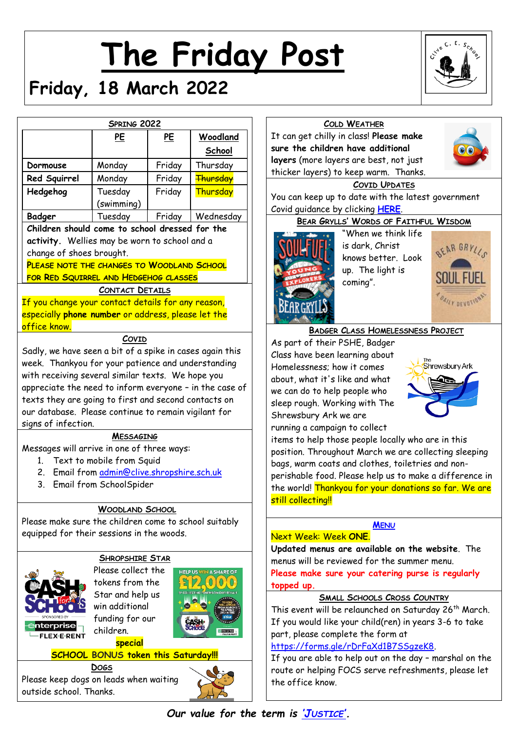# **The Friday Post**



# **Friday, 18 March 2022**

|                                                                                                              | SPRING 2022                                 |        |                               |
|--------------------------------------------------------------------------------------------------------------|---------------------------------------------|--------|-------------------------------|
|                                                                                                              | PE                                          | PE     | Woodland                      |
|                                                                                                              |                                             |        | School                        |
| Dormouse                                                                                                     | Monday                                      | Friday | Thursday                      |
| Red Squirrel                                                                                                 | Monday                                      | Friday | <b>Thursday</b>               |
| Hedgehog                                                                                                     | Tuesday                                     | Friday | <b>Thursday</b>               |
|                                                                                                              | (swimming)                                  |        |                               |
| Badger                                                                                                       | Tuesday                                     | Friday | Wednesday                     |
| Children should come to school dressed for the                                                               |                                             |        |                               |
| activity. Wellies may be worn to school and a                                                                |                                             |        |                               |
| change of shoes brought.                                                                                     |                                             |        |                               |
| PLEASE NOTE THE CHANGES TO WOODLAND SCHOOL                                                                   |                                             |        |                               |
| FOR RED SQUIRREL AND HEDGEHOG CLASSES                                                                        |                                             |        |                               |
|                                                                                                              | <b>CONTACT DETAILS</b>                      |        |                               |
| <u>If you change your contact details for any reason, </u>                                                   |                                             |        |                               |
| especially phone number or address, please let the                                                           |                                             |        |                               |
| office know.                                                                                                 |                                             |        |                               |
|                                                                                                              | COVID                                       |        |                               |
| Sadly, we have seen a bit of a spike in cases again this                                                     |                                             |        |                               |
| week. Thankyou for your patience and understanding                                                           |                                             |        |                               |
| with receiving several similar texts. We hope you<br>appreciate the need to inform everyone - in the case of |                                             |        |                               |
| texts they are going to first and second contacts on                                                         |                                             |        |                               |
| our database. Please continue to remain vigilant for                                                         |                                             |        |                               |
| signs of infection.                                                                                          |                                             |        |                               |
|                                                                                                              | <b>MESSAGING</b>                            |        |                               |
| Messages will arrive in one of three ways:                                                                   |                                             |        |                               |
|                                                                                                              | 1. Text to mobile from Squid                |        |                               |
|                                                                                                              | 2. Email from admin@clive.shropshire.sch.uk |        |                               |
|                                                                                                              | 3. Email from SchoolSpider                  |        |                               |
|                                                                                                              |                                             |        |                               |
|                                                                                                              | <b>WOODLAND SCHOOL</b>                      |        |                               |
| Please make sure the children come to school suitably                                                        |                                             |        |                               |
| equipped for their sessions in the woods.                                                                    |                                             |        |                               |
|                                                                                                              |                                             |        |                               |
|                                                                                                              | <b>SHROPSHIRE STAR</b>                      |        |                               |
|                                                                                                              | Please collect the                          |        | <b>HELP US WIN A SHARE OF</b> |
|                                                                                                              | tokens from the                             |        |                               |
|                                                                                                              | Star and help us                            |        |                               |
|                                                                                                              | win additional                              |        |                               |
| SPONSORED BY<br><b>nterprise</b>                                                                             | funding for our                             |        |                               |
| <b>FLEX-E-RENT</b>                                                                                           | children.                                   |        |                               |

 $\overline{\mathsf{o}}$ 

# **COLD WEATHER** It can get chilly in class! **Please make sure the children have additional layers** (more layers are best, not just thicker layers) to keep warm. Thanks.



#### **COVID UPDATES**

You can keep up to date with the latest government Covid guidance by clicking **[HERE](https://www.gov.uk/government/publications/what-parents-and-carers-need-to-know-about-early-years-providers-schools-and-colleges-during-the-coronavirus-covid-19-outbreak?utm_source=14%20December%202021%20C19&utm_medium=Daily%20Email%20C19&utm_campaign=DfE%20C19)**.

#### **BEAR GRYLLS' WORDS OF FAITHFUL WISDOM**



"When we think life is dark, Christ knows better. Look up. The light is coming".



#### **BADGER CLASS HOMELESSNESS PROJECT**

As part of their PSHE, Badger Class have been learning about Homelessness; how it comes about, what it's like and what we can do to help people who sleep rough. Working with The Shrewsbury Ark we are running a campaign to collect



tems to help those people locally who are in this position. Throughout March we are collecting sleeping bags, warm coats and clothes, toiletries and nonperishable food. Please help us to make a difference in he world! <mark>Thankyou for your donations so far. We are</mark> still collecting!!

#### **M[ENU](http://www.clivecofeprimaryschool.co.uk/page/school-meals/26275)**

# Next Week: Week **ONE**.

**Updated menus are available on the website**. The menus will be reviewed for the summer menu. **Please make sure your catering purse is regularly topped up.**

# **SMALL SCHOOLS CROSS COUNTRY**

This event will be relaunched on Saturday 26<sup>th</sup> March. If you would like your child(ren) in years 3-6 to take part, please complete the form at

[https://forms.gle/rDrFaXd1B7SSgzeK8.](https://forms.gle/rDrFaXd1B7SSgzeK8)

If you are able to help out on the day – marshal on the route or helping FOCS serve refreshments, please let the office know.

**DOGS** Please keep dogs on leads when waiting outside school. Thanks.

**special**



*Our value for the term is 'J[USTICE](http://www.clivecofeprimaryschool.co.uk/serve_file/5298783)'.*